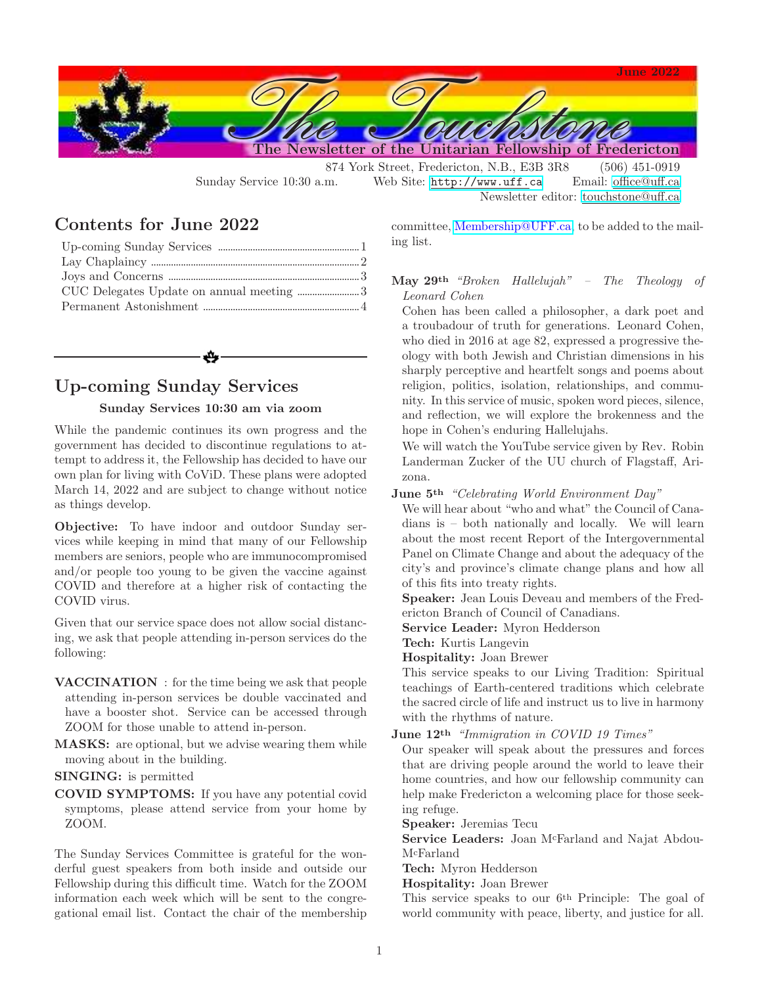

Sunday Service 10:30 a.m. Web Site: <http://www.uff.ca> Email: [office@uff.ca](mailto:office@uff.ca?subject=UFF Office Request/Inquiry) Newsletter editor: [touchstone@uff.ca](mailto:touchstone@uff.ca?subject=To the Touchstone Editor)

### Contents for June 2022

# Up-coming Sunday Services

#### Sunday Services 10:30 am via zoom

While the pandemic continues its own progress and the government has decided to discontinue regulations to attempt to address it, the Fellowship has decided to have our own plan for living with CoViD. These plans were adopted March 14, 2022 and are subject to change without notice as things develop.

Objective: To have indoor and outdoor Sunday services while keeping in mind that many of our Fellowship members are seniors, people who are immunocompromised and/or people too young to be given the vaccine against COVID and therefore at a higher risk of contacting the COVID virus.

Given that our service space does not allow social distancing, we ask that people attending in-person services do the following:

VACCINATION : for the time being we ask that people attending in-person services be double vaccinated and have a booster shot. Service can be accessed through ZOOM for those unable to attend in-person.

MASKS: are optional, but we advise wearing them while moving about in the building.

SINGING: is permitted

COVID SYMPTOMS: If you have any potential covid symptoms, please attend service from your home by ZOOM.

The Sunday Services Committee is grateful for the wonderful guest speakers from both inside and outside our Fellowship during this difficult time. Watch for the ZOOM information each week which will be sent to the congregational email list. Contact the chair of the membership committee, [Membership@UFF.ca,](mailto:Membership@UFF.ca?subject=Please add me to the Congregational mailing list) to be added to the mailing list.

#### May 29th *"Broken Hallelujah" – The Theology of Leonard Cohen*

Cohen has been called a philosopher, a dark poet and a troubadour of truth for generations. Leonard Cohen, who died in 2016 at age 82, expressed a progressive theology with both Jewish and Christian dimensions in his sharply perceptive and heartfelt songs and poems about religion, politics, isolation, relationships, and community. In this service of music, spoken word pieces, silence, and reflection, we will explore the brokenness and the hope in Cohen's enduring Hallelujahs.

We will watch the YouTube service given by Rev. Robin Landerman Zucker of the UU church of Flagstaff, Arizona.

June 5th *"Celebrating World Environment Day"*

We will hear about "who and what" the Council of Canadians is – both nationally and locally. We will learn about the most recent Report of the Intergovernmental Panel on Climate Change and about the adequacy of the city's and province's climate change plans and how all of this fits into treaty rights.

Speaker: Jean Louis Deveau and members of the Fredericton Branch of Council of Canadians.

Service Leader: Myron Hedderson

Tech: Kurtis Langevin

Hospitality: Joan Brewer

This service speaks to our Living Tradition: Spiritual teachings of Earth-centered traditions which celebrate the sacred circle of life and instruct us to live in harmony with the rhythms of nature.

June 12th *"Immigration in COVID 19 Times"*

Our speaker will speak about the pressures and forces that are driving people around the world to leave their home countries, and how our fellowship community can help make Fredericton a welcoming place for those seeking refuge.

Speaker: Jeremias Tecu

Service Leaders: Joan M<sup>c</sup>Farland and Najat Abdou-M<sup>c</sup>Farland

Tech: Myron Hedderson

Hospitality: Joan Brewer

This service speaks to our 6th Principle: The goal of world community with peace, liberty, and justice for all.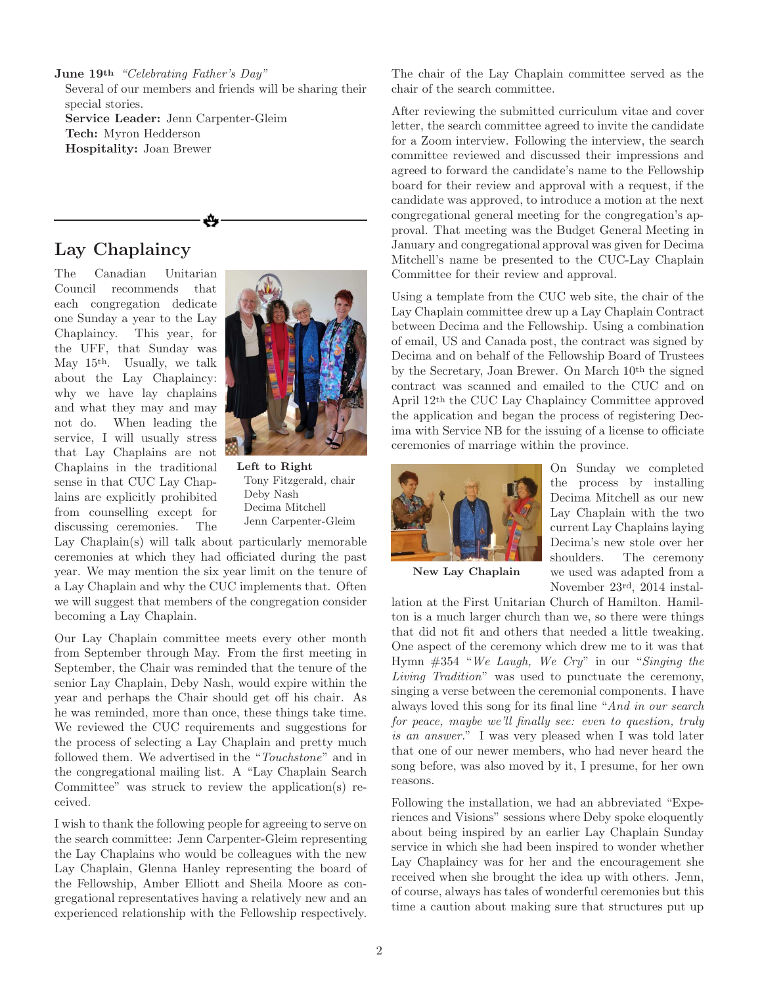June 19th *"Celebrating Father's Day"*

Several of our members and friends will be sharing their special stories.

₩

Service Leader: Jenn Carpenter-Gleim Tech: Myron Hedderson Hospitality: Joan Brewer

### Lay Chaplaincy

The Canadian Unitarian Council recommends that each congregation dedicate one Sunday a year to the Lay Chaplaincy. This year, for the UFF, that Sunday was May 15th. Usually, we talk about the Lay Chaplaincy: why we have lay chaplains and what they may and may not do. When leading the service, I will usually stress that Lay Chaplains are not Chaplains in the traditional sense in that CUC Lay Chaplains are explicitly prohibited from counselling except for discussing ceremonies. The



Left to Right Tony Fitzgerald, chair Deby Nash Decima Mitchell Jenn Carpenter-Gleim

Lay Chaplain(s) will talk about particularly memorable ceremonies at which they had officiated during the past year. We may mention the six year limit on the tenure of a Lay Chaplain and why the CUC implements that. Often we will suggest that members of the congregation consider becoming a Lay Chaplain.

Our Lay Chaplain committee meets every other month from September through May. From the first meeting in September, the Chair was reminded that the tenure of the senior Lay Chaplain, Deby Nash, would expire within the year and perhaps the Chair should get off his chair. As he was reminded, more than once, these things take time. We reviewed the CUC requirements and suggestions for the process of selecting a Lay Chaplain and pretty much followed them. We advertised in the "*Touchstone*" and in the congregational mailing list. A "Lay Chaplain Search Committee" was struck to review the application(s) received.

I wish to thank the following people for agreeing to serve on the search committee: Jenn Carpenter-Gleim representing the Lay Chaplains who would be colleagues with the new Lay Chaplain, Glenna Hanley representing the board of the Fellowship, Amber Elliott and Sheila Moore as congregational representatives having a relatively new and an experienced relationship with the Fellowship respectively.

The chair of the Lay Chaplain committee served as the chair of the search committee.

After reviewing the submitted curriculum vitae and cover letter, the search committee agreed to invite the candidate for a Zoom interview. Following the interview, the search committee reviewed and discussed their impressions and agreed to forward the candidate's name to the Fellowship board for their review and approval with a request, if the candidate was approved, to introduce a motion at the next congregational general meeting for the congregation's approval. That meeting was the Budget General Meeting in January and congregational approval was given for Decima Mitchell's name be presented to the CUC-Lay Chaplain Committee for their review and approval.

Using a template from the CUC web site, the chair of the Lay Chaplain committee drew up a Lay Chaplain Contract between Decima and the Fellowship. Using a combination of email, US and Canada post, the contract was signed by Decima and on behalf of the Fellowship Board of Trustees by the Secretary, Joan Brewer. On March 10th the signed contract was scanned and emailed to the CUC and on April 12th the CUC Lay Chaplaincy Committee approved the application and began the process of registering Decima with Service NB for the issuing of a license to officiate ceremonies of marriage within the province.



On Sunday we completed the process by installing Decima Mitchell as our new Lay Chaplain with the two current Lay Chaplains laying Decima's new stole over her shoulders. The ceremony we used was adapted from a November 23rd, 2014 instal-

New Lay Chaplain

lation at the First Unitarian Church of Hamilton. Hamilton is a much larger church than we, so there were things that did not fit and others that needed a little tweaking. One aspect of the ceremony which drew me to it was that Hymn #354 "*We Laugh, We Cry*" in our "*Singing the Living Tradition*" was used to punctuate the ceremony, singing a verse between the ceremonial components. I have always loved this song for its final line "*And in our search for peace, maybe we'll finally see: even to question, truly is an answer.*" I was very pleased when I was told later that one of our newer members, who had never heard the song before, was also moved by it, I presume, for her own reasons.

Following the installation, we had an abbreviated "Experiences and Visions" sessions where Deby spoke eloquently about being inspired by an earlier Lay Chaplain Sunday service in which she had been inspired to wonder whether Lay Chaplaincy was for her and the encouragement she received when she brought the idea up with others. Jenn, of course, always has tales of wonderful ceremonies but this time a caution about making sure that structures put up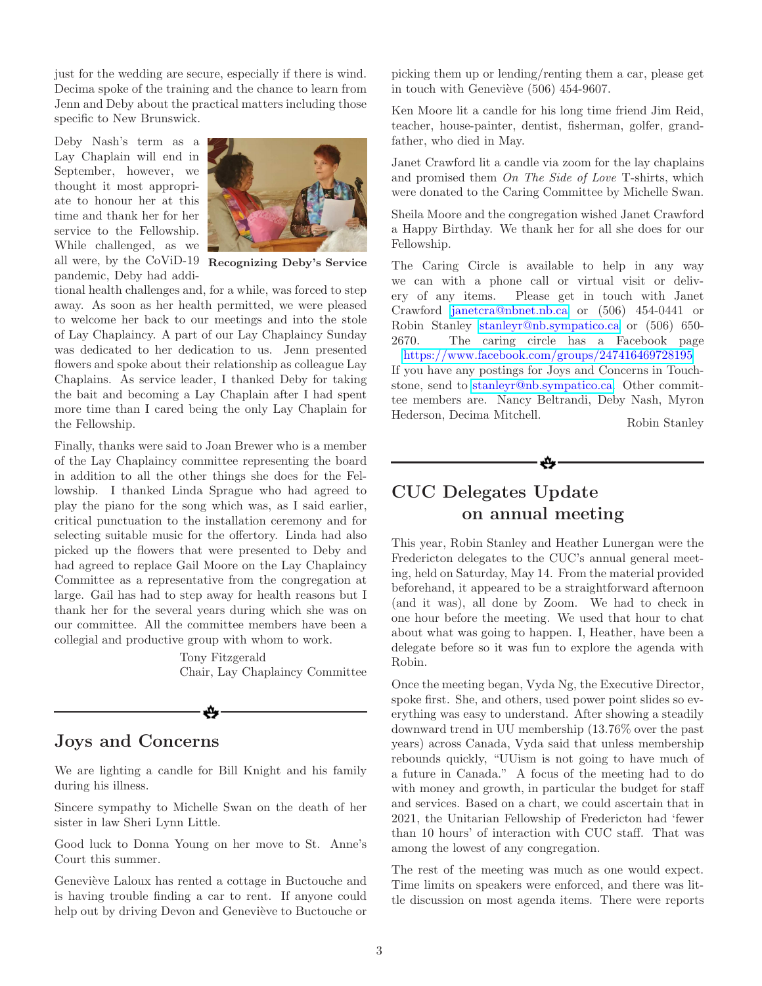just for the wedding are secure, especially if there is wind. Decima spoke of the training and the chance to learn from Jenn and Deby about the practical matters including those specific to New Brunswick.

all were, by the CoViD-19 Recognizing Deby's Service Deby Nash's term as a Lay Chaplain will end in September, however, we thought it most appropriate to honour her at this time and thank her for her service to the Fellowship. While challenged, as we pandemic, Deby had addi-



tional health challenges and, for a while, was forced to step away. As soon as her health permitted, we were pleased to welcome her back to our meetings and into the stole of Lay Chaplaincy. A part of our Lay Chaplaincy Sunday was dedicated to her dedication to us. Jenn presented flowers and spoke about their relationship as colleague Lay Chaplains. As service leader, I thanked Deby for taking the bait and becoming a Lay Chaplain after I had spent more time than I cared being the only Lay Chaplain for the Fellowship.

Finally, thanks were said to Joan Brewer who is a member of the Lay Chaplaincy committee representing the board in addition to all the other things she does for the Fellowship. I thanked Linda Sprague who had agreed to play the piano for the song which was, as I said earlier, critical punctuation to the installation ceremony and for selecting suitable music for the offertory. Linda had also picked up the flowers that were presented to Deby and had agreed to replace Gail Moore on the Lay Chaplaincy Committee as a representative from the congregation at large. Gail has had to step away for health reasons but I thank her for the several years during which she was on our committee. All the committee members have been a collegial and productive group with whom to work.

> Tony Fitzgerald Chair, Lay Chaplaincy Committee

#### Joys and Concerns

We are lighting a candle for Bill Knight and his family during his illness.

Sincere sympathy to Michelle Swan on the death of her sister in law Sheri Lynn Little.

Good luck to Donna Young on her move to St. Anne's Court this summer.

Geneviève Laloux has rented a cottage in Buctouche and is having trouble finding a car to rent. If anyone could help out by driving Devon and Geneviève to Buctouche or

picking them up or lending/renting them a car, please get in touch with Geneviève  $(506)$  454-9607.

Ken Moore lit a candle for his long time friend Jim Reid, teacher, house-painter, dentist, fisherman, golfer, grandfather, who died in May.

Janet Crawford lit a candle via zoom for the lay chaplains and promised them *On The Side of Love* T-shirts, which were donated to the Caring Committee by Michelle Swan.

Sheila Moore and the congregation wished Janet Crawford a Happy Birthday. We thank her for all she does for our Fellowship.

The Caring Circle is available to help in any way we can with a phone call or virtual visit or delivery of any items. Please get in touch with Janet Crawford [janetcra@nbnet.nb.ca](mailto:janetcra@nbnet.nb.ca?subject=Regarding Caring Circle) or (506) 454-0441 or Robin Stanley [stanleyr@nb.sympatico.ca](mailto:stanleyr@nb.sympatico.ca?subject=Regarding Caring Circle) or (506) 650- 2670. The caring circle has a Facebook page <https://www.facebook.com/groups/247416469728195>

If you have any postings for Joys and Concerns in Touchstone, send to [stanleyr@nb.sympatico.ca.](mailto:stanleyr@nb.sympatico.ca?subject=Regarding Joys and Concerns) Other committee members are. Nancy Beltrandi, Deby Nash, Myron Hederson, Decima Mitchell. Robin Stanley



## CUC Delegates Update on annual meeting

This year, Robin Stanley and Heather Lunergan were the Fredericton delegates to the CUC's annual general meeting, held on Saturday, May 14. From the material provided beforehand, it appeared to be a straightforward afternoon (and it was), all done by Zoom. We had to check in one hour before the meeting. We used that hour to chat about what was going to happen. I, Heather, have been a delegate before so it was fun to explore the agenda with Robin.

Once the meeting began, Vyda Ng, the Executive Director, spoke first. She, and others, used power point slides so everything was easy to understand. After showing a steadily downward trend in UU membership (13.76% over the past years) across Canada, Vyda said that unless membership rebounds quickly, "UUism is not going to have much of a future in Canada." A focus of the meeting had to do with money and growth, in particular the budget for staff and services. Based on a chart, we could ascertain that in 2021, the Unitarian Fellowship of Fredericton had 'fewer than 10 hours' of interaction with CUC staff. That was among the lowest of any congregation.

The rest of the meeting was much as one would expect. Time limits on speakers were enforced, and there was little discussion on most agenda items. There were reports